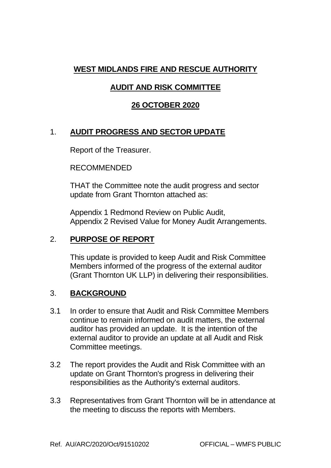## **WEST MIDLANDS FIRE AND RESCUE AUTHORITY**

# **AUDIT AND RISK COMMITTEE**

### **26 OCTOBER 2020**

## 1. **AUDIT PROGRESS AND SECTOR UPDATE**

Report of the Treasurer.

RECOMMENDED

THAT the Committee note the audit progress and sector update from Grant Thornton attached as:

Appendix 1 Redmond Review on Public Audit, Appendix 2 Revised Value for Money Audit Arrangements.

#### 2. **PURPOSE OF REPORT**

This update is provided to keep Audit and Risk Committee Members informed of the progress of the external auditor (Grant Thornton UK LLP) in delivering their responsibilities.

#### 3. **BACKGROUND**

- 3.1 In order to ensure that Audit and Risk Committee Members continue to remain informed on audit matters, the external auditor has provided an update. It is the intention of the external auditor to provide an update at all Audit and Risk Committee meetings.
- 3.2 The report provides the Audit and Risk Committee with an update on Grant Thornton's progress in delivering their responsibilities as the Authority's external auditors.
- 3.3 Representatives from Grant Thornton will be in attendance at the meeting to discuss the reports with Members.